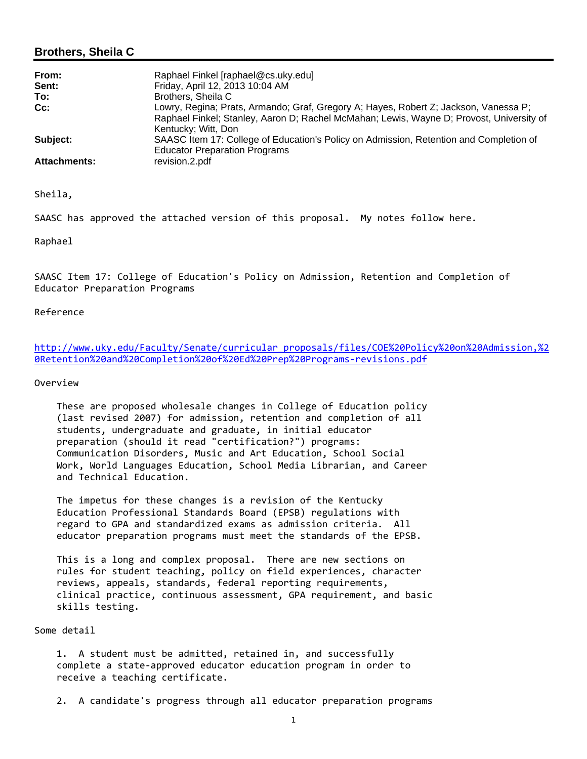#### **Brothers, Sheila C**

| From:               | Raphael Finkel [raphael@cs.uky.edu]                                                                                                                                                                     |
|---------------------|---------------------------------------------------------------------------------------------------------------------------------------------------------------------------------------------------------|
| Sent:               | Friday, April 12, 2013 10:04 AM                                                                                                                                                                         |
| To:                 | Brothers, Sheila C                                                                                                                                                                                      |
| Cc:                 | Lowry, Regina; Prats, Armando; Graf, Gregory A; Hayes, Robert Z; Jackson, Vanessa P;<br>Raphael Finkel; Stanley, Aaron D; Rachel McMahan; Lewis, Wayne D; Provost, University of<br>Kentucky; Witt, Don |
| Subject:            | SAASC Item 17: College of Education's Policy on Admission, Retention and Completion of<br><b>Educator Preparation Programs</b>                                                                          |
| <b>Attachments:</b> | revision.2.pdf                                                                                                                                                                                          |

Sheila,

SAASC has approved the attached version of this proposal. My notes follow here.

Raphael

SAASC Item 17: College of Education's Policy on Admission, Retention and Completion of Educator Preparation Programs

#### Reference

http://www.uky.edu/Faculty/Senate/curricular\_proposals/files/COE%20Policy%20on%20Admission,%2 0Retention%20and%20Completion%20of%20Ed%20Prep%20Programs‐revisions.pdf

#### Overview

 These are proposed wholesale changes in College of Education policy (last revised 2007) for admission, retention and completion of all students, undergraduate and graduate, in initial educator preparation (should it read "certification?") programs: Communication Disorders, Music and Art Education, School Social Work, World Languages Education, School Media Librarian, and Career and Technical Education.

 The impetus for these changes is a revision of the Kentucky Education Professional Standards Board (EPSB) regulations with regard to GPA and standardized exams as admission criteria. All educator preparation programs must meet the standards of the EPSB.

 This is a long and complex proposal. There are new sections on rules for student teaching, policy on field experiences, character reviews, appeals, standards, federal reporting requirements, clinical practice, continuous assessment, GPA requirement, and basic skills testing.

Some detail

 1. A student must be admitted, retained in, and successfully complete a state‐approved educator education program in order to receive a teaching certificate.

2. A candidate's progress through all educator preparation programs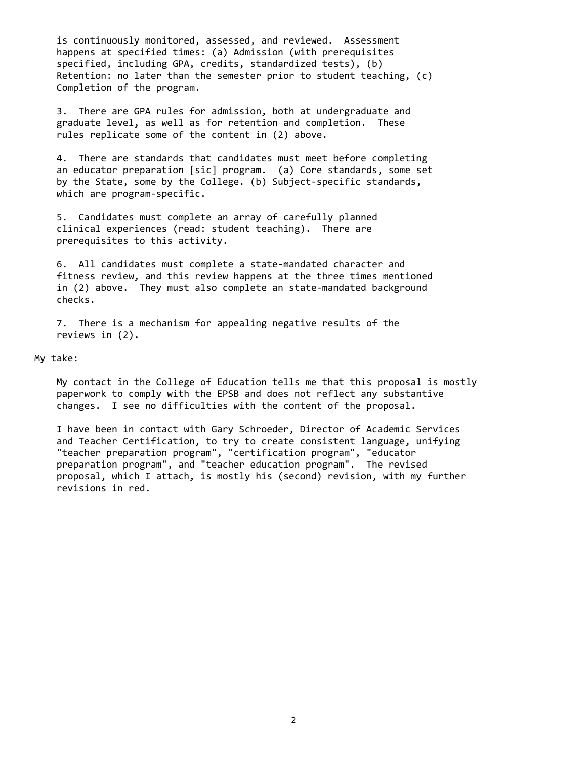is continuously monitored, assessed, and reviewed. Assessment happens at specified times: (a) Admission (with prerequisites specified, including GPA, credits, standardized tests), (b) Retention: no later than the semester prior to student teaching, (c) Completion of the program.

 3. There are GPA rules for admission, both at undergraduate and graduate level, as well as for retention and completion. These rules replicate some of the content in (2) above.

 4. There are standards that candidates must meet before completing an educator preparation [sic] program. (a) Core standards, some set by the State, some by the College. (b) Subject‐specific standards, which are program‐specific.

 5. Candidates must complete an array of carefully planned clinical experiences (read: student teaching). There are prerequisites to this activity.

 6. All candidates must complete a state‐mandated character and fitness review, and this review happens at the three times mentioned in (2) above. They must also complete an state‐mandated background checks.

 7. There is a mechanism for appealing negative results of the reviews in (2).

My take:

 My contact in the College of Education tells me that this proposal is mostly paperwork to comply with the EPSB and does not reflect any substantive changes. I see no difficulties with the content of the proposal.

 I have been in contact with Gary Schroeder, Director of Academic Services and Teacher Certification, to try to create consistent language, unifying "teacher preparation program", "certification program", "educator preparation program", and "teacher education program". The revised proposal, which I attach, is mostly his (second) revision, with my further revisions in red.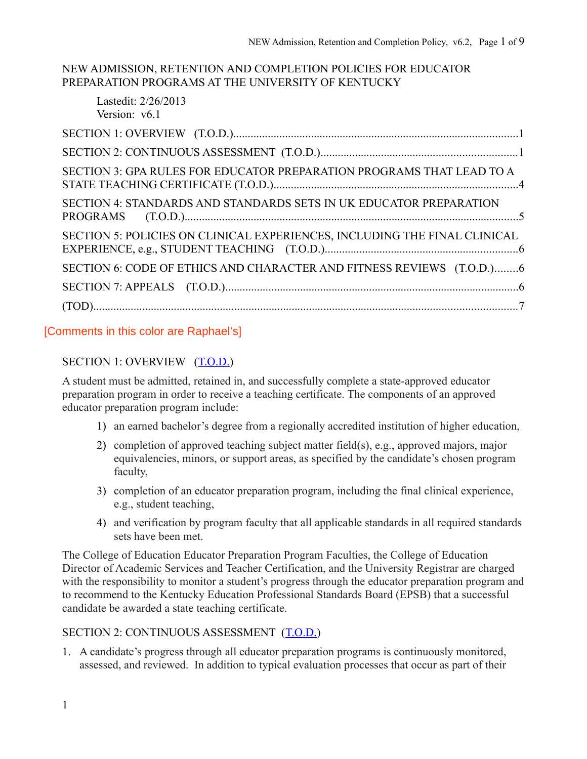#### NEW ADMISSION, RETENTION AND COMPLETION POLICIES FOR EDUCATOR PREPARATION PROGRAMS AT THE UNIVERSITY OF KENTUCKY

Lastedit: 2/26/2013 Version: v6.1 SECTION 3: GPA RULES FOR EDUCATOR PREPARATION PROGRAMS THAT LEAD TO A SECTION 4: STANDARDS AND STANDARDS SETS IN UK EDUCATOR PREPARATION  $(T.0.D.)$ **PROGRAMS** SECTION 5: POLICIES ON CLINICAL EXPERIENCES, INCLUDING THE FINAL CLINICAL SECTION 6: CODE OF ETHICS AND CHARACTER AND FITNESS REVIEWS (T.O.D.).........6 

## [Comments in this color are Raphael's]

## SECTION 1: OVERVIEW (T.O.D.)

A student must be admitted, retained in, and successfully complete a state-approved educator preparation program in order to receive a teaching certificate. The components of an approved educator preparation program include:

- 1) an earned bachelor's degree from a regionally accredited institution of higher education,
- 2) completion of approved teaching subject matter field(s), e.g., approved majors, major equivalencies, minors, or support areas, as specified by the candidate's chosen program faculty,
- 3) completion of an educator preparation program, including the final clinical experience, e.g., student teaching.
- 4) and verification by program faculty that all applicable standards in all required standards sets have been met.

The College of Education Educator Preparation Program Faculties, the College of Education Director of Academic Services and Teacher Certification, and the University Registrar are charged with the responsibility to monitor a student's progress through the educator preparation program and to recommend to the Kentucky Education Professional Standards Board (EPSB) that a successful candidate be awarded a state teaching certificate.

#### SECTION 2: CONTINUOUS ASSESSMENT (T.O.D.)

1. A candidate's progress through all educator preparation programs is continuously monitored, assessed, and reviewed. In addition to typical evaluation processes that occur as part of their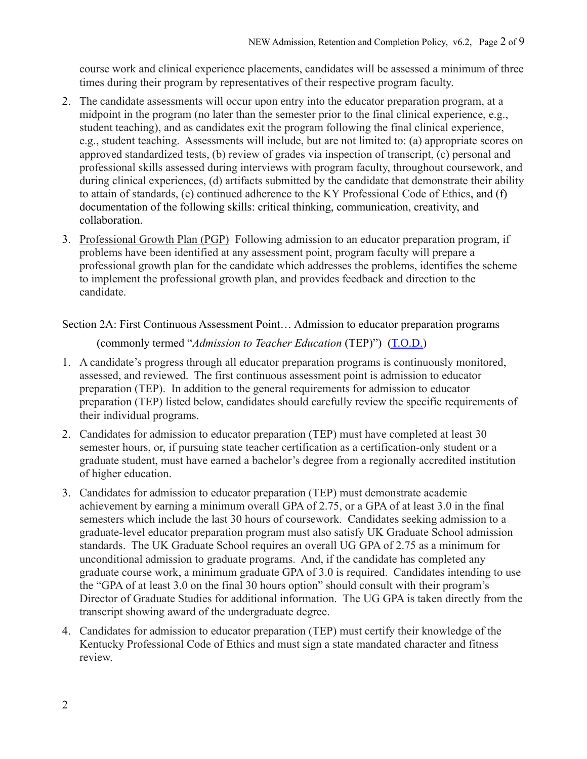course work and clinical experience placements, candidates will be assessed a minimum of three times during their program by representatives of their respective program faculty.

- 2. The candidate assessments will occur upon entry into the educator preparation program, at a midpoint in the program (no later than the semester prior to the final clinical experience, e.g., student teaching), and as candidates exit the program following the final clinical experience, e.g., student teaching. Assessments will include, but are not limited to: (a) appropriate scores on approved standardized tests, (b) review of grades via inspection of transcript, (c) personal and professional skills assessed during interviews with program faculty, throughout coursework, and during clinical experiences, (d) artifacts submitted by the candidate that demonstrate their ability to attain of standards, (e) continued adherence to the KY Professional Code of Ethics, and (f) documentation of the following skills: critical thinking, communication, creativity, and collaboration.
- 3. Professional Growth Plan (PGP) Following admission to an educator preparation program, if problems have been identified at any assessment point, program faculty will prepare a professional growth plan for the candidate which addresses the problems, identifies the scheme to implement the professional growth plan, and provides feedback and direction to the candidate.

Section 2A: First Continuous Assessment Point... Admission to educator preparation programs

(commonly termed "Admission to Teacher Education (TEP)") (T.O.D.)

- 1. A candidate's progress through all educator preparation programs is continuously monitored, assessed, and reviewed. The first continuous assessment point is admission to educator preparation (TEP). In addition to the general requirements for admission to educator preparation (TEP) listed below, candidates should carefully review the specific requirements of their individual programs.
- 2. Candidates for admission to educator preparation (TEP) must have completed at least 30 semester hours, or, if pursuing state teacher certification as a certification-only student or a graduate student, must have earned a bachelor's degree from a regionally accredited institution of higher education.
- 3. Candidates for admission to educator preparation (TEP) must demonstrate academic achievement by earning a minimum overall GPA of 2.75, or a GPA of at least 3.0 in the final semesters which include the last 30 hours of coursework. Candidates seeking admission to a graduate-level educator preparation program must also satisfy UK Graduate School admission standards. The UK Graduate School requires an overall UG GPA of 2.75 as a minimum for unconditional admission to graduate programs. And, if the candidate has completed any graduate course work, a minimum graduate GPA of 3.0 is required. Candidates intending to use the "GPA of at least 3.0 on the final 30 hours option" should consult with their program's Director of Graduate Studies for additional information. The UG GPA is taken directly from the transcript showing award of the undergraduate degree.
- 4. Candidates for admission to educator preparation (TEP) must certify their knowledge of the Kentucky Professional Code of Ethics and must sign a state mandated character and fitness review.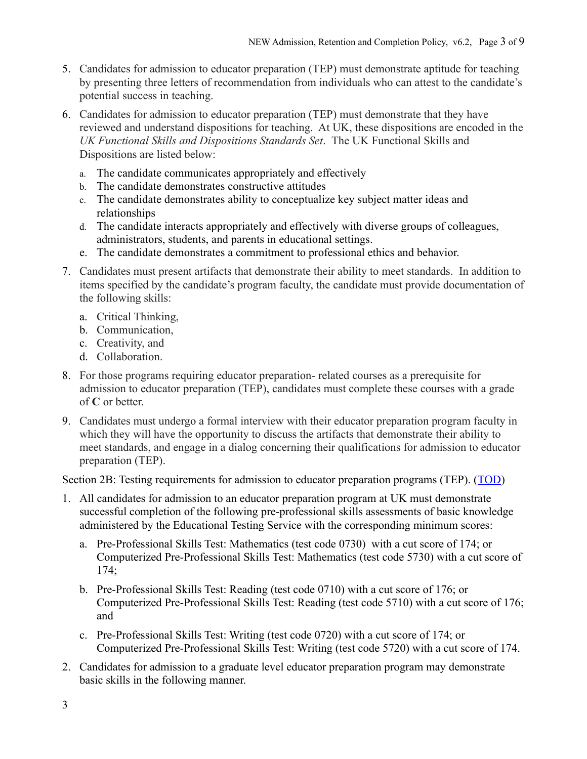- 5. Candidates for admission to educator preparation (TEP) must demonstrate aptitude for teaching by presenting three letters of recommendation from individuals who can attest to the candidate's potential success in teaching.
- 6. Candidates for admission to educator preparation (TEP) must demonstrate that they have reviewed and understand dispositions for teaching. At UK, these dispositions are encoded in the UK Functional Skills and Dispositions Standards Set. The UK Functional Skills and Dispositions are listed below:
	- a. The candidate communicates appropriately and effectively
	- b. The candidate demonstrates constructive attitudes
	- c. The candidate demonstrates ability to conceptualize key subject matter ideas and relationships
	- d. The candidate interacts appropriately and effectively with diverse groups of colleagues, administrators, students, and parents in educational settings.
	- e. The candidate demonstrates a commitment to professional ethics and behavior.
- 7. Candidates must present artifacts that demonstrate their ability to meet standards. In addition to items specified by the candidate's program faculty, the candidate must provide documentation of the following skills:
	- a. Critical Thinking,
	- b. Communication,
	- c. Creativity, and
	- d. Collaboration.
- 8. For those programs requiring educator preparation- related courses as a prerequisite for admission to educator preparation (TEP), candidates must complete these courses with a grade of  $C$  or better.
- 9. Candidates must undergo a formal interview with their educator preparation program faculty in which they will have the opportunity to discuss the artifacts that demonstrate their ability to meet standards, and engage in a dialog concerning their qualifications for admission to educator preparation (TEP).

Section 2B: Testing requirements for admission to educator preparation programs (TEP). (TOD)

- 1. All candidates for admission to an educator preparation program at UK must demonstrate successful completion of the following pre-professional skills assessments of basic knowledge administered by the Educational Testing Service with the corresponding minimum scores:
	- a. Pre-Professional Skills Test: Mathematics (test code 0730) with a cut score of 174; or Computerized Pre-Professional Skills Test: Mathematics (test code 5730) with a cut score of  $174:$
	- b. Pre-Professional Skills Test: Reading (test code 0710) with a cut score of 176; or Computerized Pre-Professional Skills Test: Reading (test code 5710) with a cut score of 176; and
	- c. Pre-Professional Skills Test: Writing (test code 0720) with a cut score of 174; or Computerized Pre-Professional Skills Test: Writing (test code 5720) with a cut score of 174.
- 2. Candidates for admission to a graduate level educator preparation program may demonstrate basic skills in the following manner.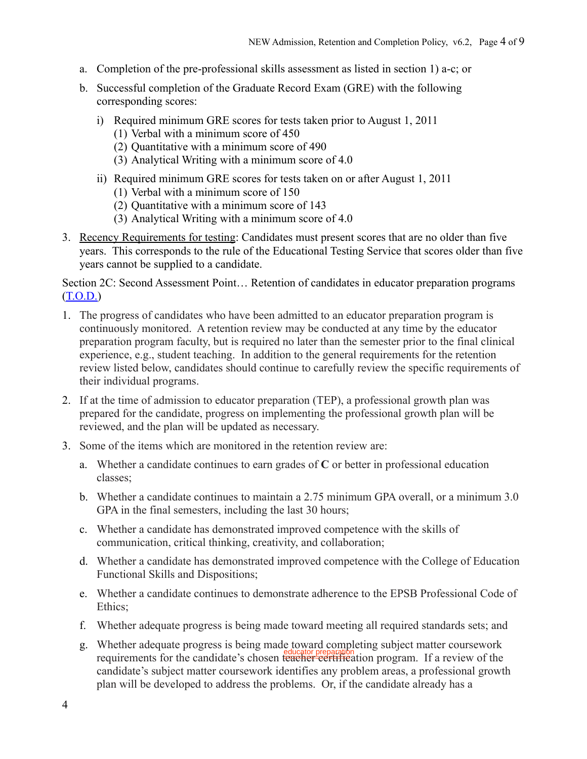- a. Completion of the pre-professional skills assessment as listed in section 1) a-c; or
- b. Successful completion of the Graduate Record Exam (GRE) with the following corresponding scores:
	- i) Required minimum GRE scores for tests taken prior to August 1, 2011
		- $(1)$  Verbal with a minimum score of 450
		- (2) Ouantitative with a minimum score of 490
		- (3) Analytical Writing with a minimum score of 4.0
	- ii) Required minimum GRE scores for tests taken on or after August 1, 2011
		- (1) Verbal with a minimum score of 150
		- (2) Quantitative with a minimum score of 143
		- (3) Analytical Writing with a minimum score of 4.0
- 3. Recency Requirements for testing: Candidates must present scores that are no older than five years. This corresponds to the rule of the Educational Testing Service that scores older than five years cannot be supplied to a candidate.

Section 2C: Second Assessment Point... Retention of candidates in educator preparation programs  $(T.O.D.)$ 

- 1. The progress of candidates who have been admitted to an educator preparation program is continuously monitored. A retention review may be conducted at any time by the educator preparation program faculty, but is required no later than the semester prior to the final clinical experience, e.g., student teaching. In addition to the general requirements for the retention review listed below, candidates should continue to carefully review the specific requirements of their individual programs.
- 2. If at the time of admission to educator preparation (TEP), a professional growth plan was prepared for the candidate, progress on implementing the professional growth plan will be reviewed, and the plan will be updated as necessary.
- 3 Some of the items which are monitored in the retention review are:
	- a. Whether a candidate continues to earn grades of  $C$  or better in professional education classes:
	- b. Whether a candidate continues to maintain a 2.75 minimum GPA overall, or a minimum 3.0 GPA in the final semesters, including the last 30 hours;
	- c. Whether a candidate has demonstrated improved competence with the skills of communication, critical thinking, creativity, and collaboration;
	- d. Whether a candidate has demonstrated improved competence with the College of Education **Functional Skills and Dispositions;**
	- e. Whether a candidate continues to demonstrate adherence to the EPSB Professional Code of Ethics:
	- f. Whether adequate progress is being made toward meeting all required standards sets; and
	- g. Whether adequate progress is being made toward completing subject matter coursework requirements for the candidate's chosen teacher certification program. If a review of the candidate's subject matter coursework identifies any problem areas, a professional growth plan will be developed to address the problems. Or, if the candidate already has a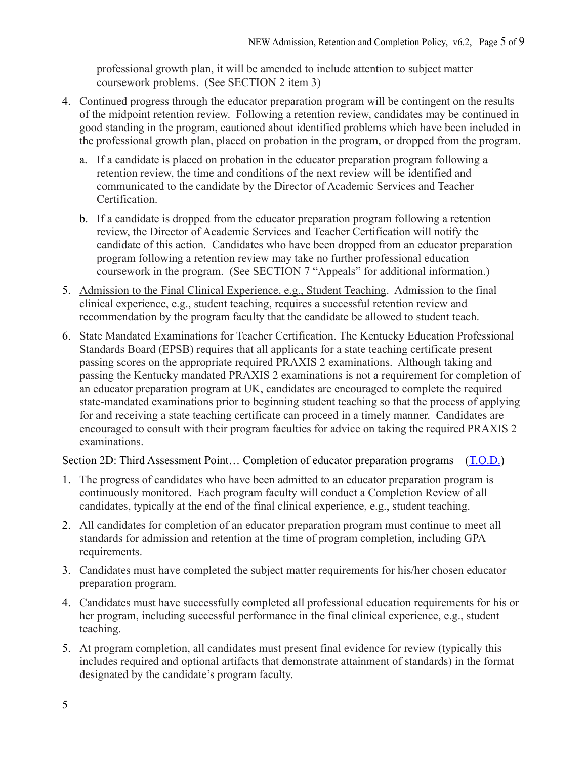professional growth plan, it will be amended to include attention to subject matter coursework problems. (See SECTION 2 item 3)

- 4. Continued progress through the educator preparation program will be contingent on the results of the midpoint retention review. Following a retention review, candidates may be continued in good standing in the program, cautioned about identified problems which have been included in the professional growth plan, placed on probation in the program, or dropped from the program.
	- a. If a candidate is placed on probation in the educator preparation program following a retention review, the time and conditions of the next review will be identified and communicated to the candidate by the Director of Academic Services and Teacher Certification.
	- b. If a candidate is dropped from the educator preparation program following a retention review, the Director of Academic Services and Teacher Certification will notify the candidate of this action. Candidates who have been dropped from an educator preparation program following a retention review may take no further professional education coursework in the program. (See SECTION 7 "Appeals" for additional information.)
- 5. Admission to the Final Clinical Experience, e.g., Student Teaching. Admission to the final clinical experience, e.g., student teaching, requires a successful retention review and recommendation by the program faculty that the candidate be allowed to student teach.
- 6. State Mandated Examinations for Teacher Certification. The Kentucky Education Professional Standards Board (EPSB) requires that all applicants for a state teaching certificate present passing scores on the appropriate required PRAXIS 2 examinations. Although taking and passing the Kentucky mandated PRAXIS 2 examinations is not a requirement for completion of an educator preparation program at UK, candidates are encouraged to complete the required state-mandated examinations prior to beginning student teaching so that the process of applying for and receiving a state teaching certificate can proceed in a timely manner. Candidates are encouraged to consult with their program faculties for advice on taking the required PRAXIS 2 examinations.

Section 2D: Third Assessment Point... Completion of educator preparation programs (T.O.D.)

- 1. The progress of candidates who have been admitted to an educator preparation program is continuously monitored. Each program faculty will conduct a Completion Review of all candidates, typically at the end of the final clinical experience, e.g., student teaching.
- 2. All candidates for completion of an educator preparation program must continue to meet all standards for admission and retention at the time of program completion, including GPA requirements.
- 3. Candidates must have completed the subject matter requirements for his/her chosen educator preparation program.
- 4. Candidates must have successfully completed all professional education requirements for his or her program, including successful performance in the final clinical experience, e.g., student teaching.
- 5. At program completion, all candidates must present final evidence for review (typically this includes required and optional artifacts that demonstrate attainment of standards) in the format designated by the candidate's program faculty.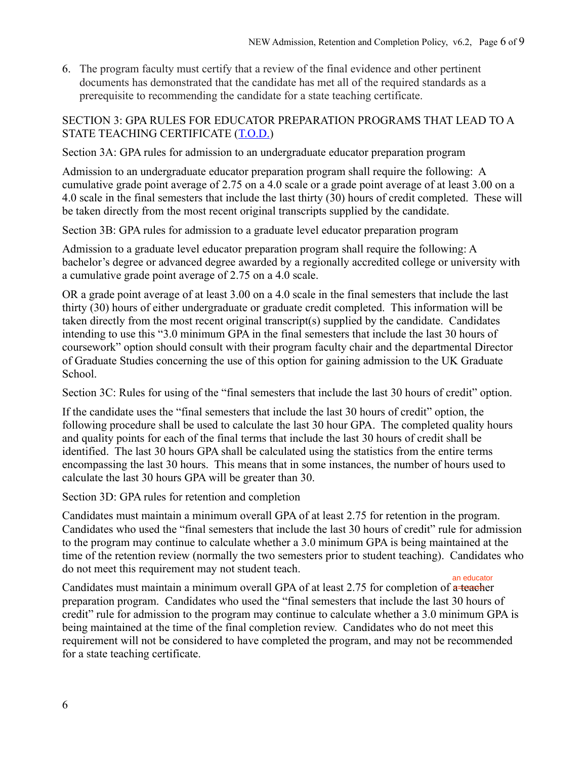6. The program faculty must certify that a review of the final evidence and other pertinent documents has demonstrated that the candidate has met all of the required standards as a prerequisite to recommending the candidate for a state teaching certificate.

#### SECTION 3: GPA RULES FOR EDUCATOR PREPARATION PROGRAMS THAT LEAD TO A STATE TEACHING CERTIFICATE (T.O.D.)

Section 3A: GPA rules for admission to an undergraduate educator preparation program

Admission to an undergraduate educator preparation program shall require the following: A cumulative grade point average of 2.75 on a 4.0 scale or a grade point average of at least 3.00 on a 4.0 scale in the final semesters that include the last thirty (30) hours of credit completed. These will be taken directly from the most recent original transcripts supplied by the candidate.

Section 3B: GPA rules for admission to a graduate level educator preparation program

Admission to a graduate level educator preparation program shall require the following: A bachelor's degree or advanced degree awarded by a regionally accredited college or university with a cumulative grade point average of 2.75 on a 4.0 scale.

OR a grade point average of at least 3.00 on a 4.0 scale in the final semesters that include the last thirty (30) hours of either undergraduate or graduate credit completed. This information will be taken directly from the most recent original transcript(s) supplied by the candidate. Candidates intending to use this "3.0 minimum GPA in the final semesters that include the last 30 hours of coursework" option should consult with their program faculty chair and the departmental Director of Graduate Studies concerning the use of this option for gaining admission to the UK Graduate School.

Section 3C: Rules for using of the "final semesters that include the last 30 hours of credit" option.

If the candidate uses the "final semesters that include the last 30 hours of credit" option, the following procedure shall be used to calculate the last 30 hour GPA. The completed quality hours and quality points for each of the final terms that include the last 30 hours of credit shall be identified. The last 30 hours GPA shall be calculated using the statistics from the entire terms encompassing the last 30 hours. This means that in some instances, the number of hours used to calculate the last 30 hours GPA will be greater than 30.

Section 3D: GPA rules for retention and completion

Candidates must maintain a minimum overall GPA of at least 2.75 for retention in the program. Candidates who used the "final semesters that include the last 30 hours of credit" rule for admission to the program may continue to calculate whether a 3.0 minimum GPA is being maintained at the time of the retention review (normally the two semesters prior to student teaching). Candidates who do not meet this requirement may not student teach. an educator

Candidates must maintain a minimum overall GPA of at least 2.75 for completion of a-teacher preparation program. Candidates who used the "final semesters that include the last 30 hours of credit" rule for admission to the program may continue to calculate whether a 3.0 minimum GPA is being maintained at the time of the final completion review. Candidates who do not meet this requirement will not be considered to have completed the program, and may not be recommended for a state teaching certificate.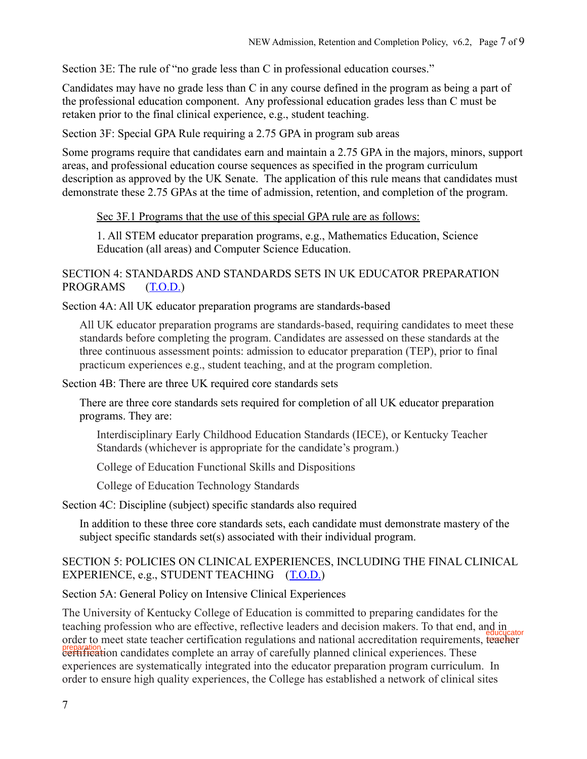Section 3E: The rule of "no grade less than C in professional education courses."

Candidates may have no grade less than C in any course defined in the program as being a part of the professional education component. Any professional education grades less than C must be retaken prior to the final clinical experience, e.g., student teaching.

Section 3F: Special GPA Rule requiring a 2.75 GPA in program sub areas

Some programs require that candidates earn and maintain a 2.75 GPA in the majors, minors, support areas, and professional education course sequences as specified in the program curriculum description as approved by the UK Senate. The application of this rule means that candidates must demonstrate these 2.75 GPAs at the time of admission, retention, and completion of the program.

Sec 3F.1 Programs that the use of this special GPA rule are as follows:

1. All STEM educator preparation programs, e.g., Mathematics Education, Science Education (all areas) and Computer Science Education.

#### SECTION 4: STANDARDS AND STANDARDS SETS IN UK EDUCATOR PREPARATION **PROGRAMS**  $(T.O.D.)$

Section 4A: All UK educator preparation programs are standards-based

All UK educator preparation programs are standards-based, requiring candidates to meet these standards before completing the program. Candidates are assessed on these standards at the three continuous assessment points: admission to educator preparation (TEP), prior to final practicum experiences e.g., student teaching, and at the program completion.

Section 4B: There are three UK required core standards sets

There are three core standards sets required for completion of all UK educator preparation programs. They are:

Interdisciplinary Early Childhood Education Standards (IECE), or Kentucky Teacher Standards (whichever is appropriate for the candidate's program.)

College of Education Functional Skills and Dispositions

College of Education Technology Standards

Section 4C: Discipline (subject) specific standards also required

In addition to these three core standards sets, each candidate must demonstrate mastery of the subject specific standards set(s) associated with their individual program.

## SECTION 5: POLICIES ON CLINICAL EXPERIENCES, INCLUDING THE FINAL CLINICAL EXPERIENCE, e.g., STUDENT TEACHING (T.O.D.)

Section 5A: General Policy on Intensive Clinical Experiences

The University of Kentucky College of Education is committed to preparing candidates for the teaching profession who are effective, reflective leaders and decision makers. To that end, and in order to meet state teacher certification regulations and national accreditation requirements, teacher ereparation:<br>contribution candidates complete an array of carefully planned clinical experiences. These experiences are systematically integrated into the educator preparation program curriculum. In order to ensure high quality experiences, the College has established a network of clinical sites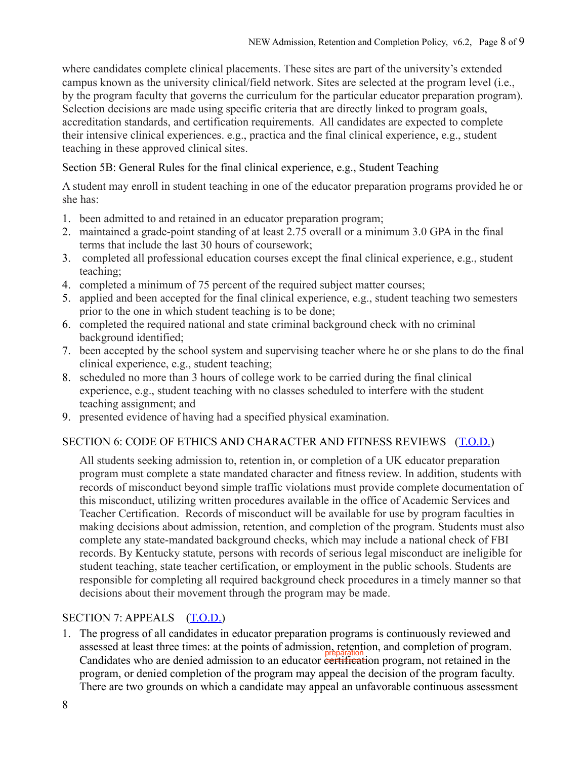where candidates complete clinical placements. These sites are part of the university's extended campus known as the university clinical/field network. Sites are selected at the program level (i.e., by the program faculty that governs the curriculum for the particular educator preparation program). Selection decisions are made using specific criteria that are directly linked to program goals, accreditation standards, and certification requirements. All candidates are expected to complete their intensive clinical experiences. e.g., practica and the final clinical experience, e.g., student teaching in these approved clinical sites.

Section 5B: General Rules for the final clinical experience, e.g., Student Teaching

A student may enroll in student teaching in one of the educator preparation programs provided he or she has:

- 1. been admitted to and retained in an educator preparation program;
- 2. maintained a grade-point standing of at least 2.75 overall or a minimum 3.0 GPA in the final terms that include the last 30 hours of coursework:
- 3. completed all professional education courses except the final clinical experience, e.g., student teaching:
- 4. completed a minimum of 75 percent of the required subject matter courses;
- 5. applied and been accepted for the final clinical experience, e.g., student teaching two semesters prior to the one in which student teaching is to be done;
- 6. completed the required national and state criminal background check with no criminal background identified;
- 7. been accepted by the school system and supervising teacher where he or she plans to do the final clinical experience, e.g., student teaching;
- 8. scheduled no more than 3 hours of college work to be carried during the final clinical experience, e.g., student teaching with no classes scheduled to interfere with the student teaching assignment; and
- 9. presented evidence of having had a specified physical examination.

# SECTION 6: CODE OF ETHICS AND CHARACTER AND FITNESS REVIEWS (T.O.D.)

All students seeking admission to, retention in, or completion of a UK educator preparation program must complete a state mandated character and fitness review. In addition, students with records of misconduct beyond simple traffic violations must provide complete documentation of this misconduct, utilizing written procedures available in the office of Academic Services and Teacher Certification. Records of misconduct will be available for use by program faculties in making decisions about admission, retention, and completion of the program. Students must also complete any state-mandated background checks, which may include a national check of FBI records. By Kentucky statute, persons with records of serious legal misconduct are ineligible for student teaching, state teacher certification, or employment in the public schools. Students are responsible for completing all required background check procedures in a timely manner so that decisions about their movement through the program may be made.

# SECTION 7: APPEALS  $(T.O.D.)$

1. The progress of all candidates in educator preparation programs is continuously reviewed and assessed at least three times: at the points of admission, retention, and completion of program. Candidates who are denied admission to an educator extinterion program, not retained in the program, or denied completion of the program may appeal the decision of the program faculty. There are two grounds on which a candidate may appeal an unfavorable continuous assessment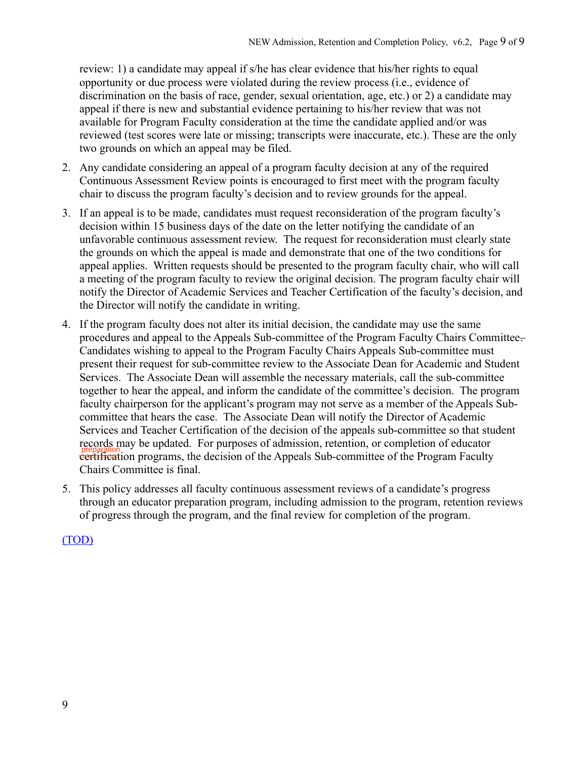review: 1) a candidate may appeal if s/he has clear evidence that his/her rights to equal opportunity or due process were violated during the review process (i.e., evidence of discrimination on the basis of race, gender, sexual orientation, age, etc.) or 2) a candidate may appeal if there is new and substantial evidence pertaining to his/her review that was not available for Program Faculty consideration at the time the candidate applied and/or was reviewed (test scores were late or missing; transcripts were inaccurate, etc.). These are the only two grounds on which an appeal may be filed.

- 2. Any candidate considering an appeal of a program faculty decision at any of the required Continuous Assessment Review points is encouraged to first meet with the program faculty chair to discuss the program faculty's decision and to review grounds for the appeal.
- 3. If an appeal is to be made, candidates must request reconsideration of the program faculty's decision within 15 business days of the date on the letter notifying the candidate of an unfavorable continuous assessment review. The request for reconsideration must clearly state the grounds on which the appeal is made and demonstrate that one of the two conditions for appeal applies. Written requests should be presented to the program faculty chair, who will call a meeting of the program faculty to review the original decision. The program faculty chair will notify the Director of Academic Services and Teacher Certification of the faculty's decision, and the Director will notify the candidate in writing.
- 4. If the program faculty does not alter its initial decision, the candidate may use the same procedures and appeal to the Appeals Sub-committee of the Program Faculty Chairs Committee. Candidates wishing to appeal to the Program Faculty Chairs Appeals Sub-committee must present their request for sub-committee review to the Associate Dean for Academic and Student Services. The Associate Dean will assemble the necessary materials, call the sub-committee together to hear the appeal, and inform the candidate of the committee's decision. The program faculty chairperson for the applicant's program may not serve as a member of the Appeals Subcommittee that hears the case. The Associate Dean will notify the Director of Academic Services and Teacher Certification of the decision of the appeals sub-committee so that student records may be updated. For purposes of admission, retention, or completion of educator **exitines** example and programs, the decision of the Appeals Sub-committee of the Program Faculty Chairs Committee is final.
- 5. This policy addresses all faculty continuous assessment reviews of a candidate's progress through an educator preparation program, including admission to the program, retention reviews of progress through the program, and the final review for completion of the program.

 $(TOD)$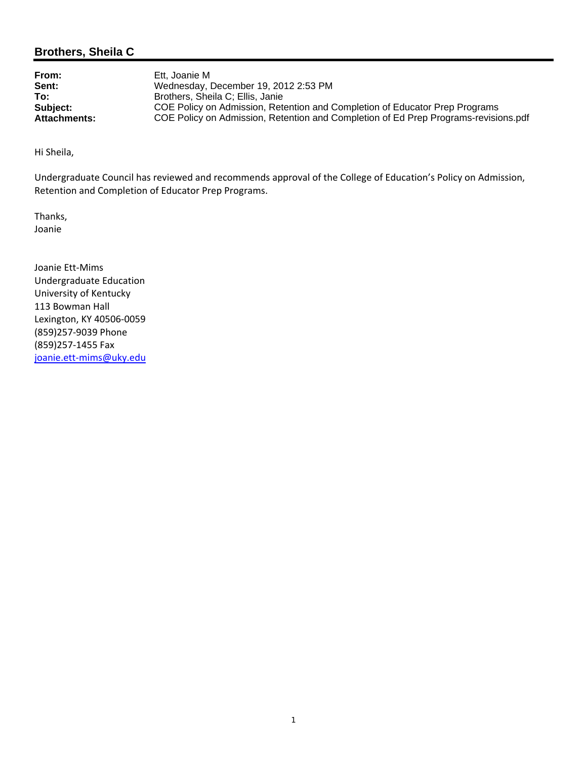### **Brothers, Sheila C**

**From:** Ett, Joanie M **Sent:** Wednesday, December 19, 2012 2:53 PM<br> **To:** Brothers. Sheila C: Ellis. Janie **To:** Brothers, Sheila C; Ellis, Janie<br> **Subject:** COE Policy on Admission, Ret **Subject:** COE Policy on Admission, Retention and Completion of Educator Prep Programs<br>Attachments: COE Policy on Admission, Retention and Completion of Ed Prep Programs-revision **Attachments:** COE Policy on Admission, Retention and Completion of Ed Prep Programs-revisions.pdf

Hi Sheila,

Undergraduate Council has reviewed and recommends approval of the College of Education's Policy on Admission, Retention and Completion of Educator Prep Programs.

Thanks, Joanie

Joanie Ett‐Mims Undergraduate Education University of Kentucky 113 Bowman Hall Lexington, KY 40506‐0059 (859)257‐9039 Phone (859)257‐1455 Fax joanie.ett-mims@uky.edu